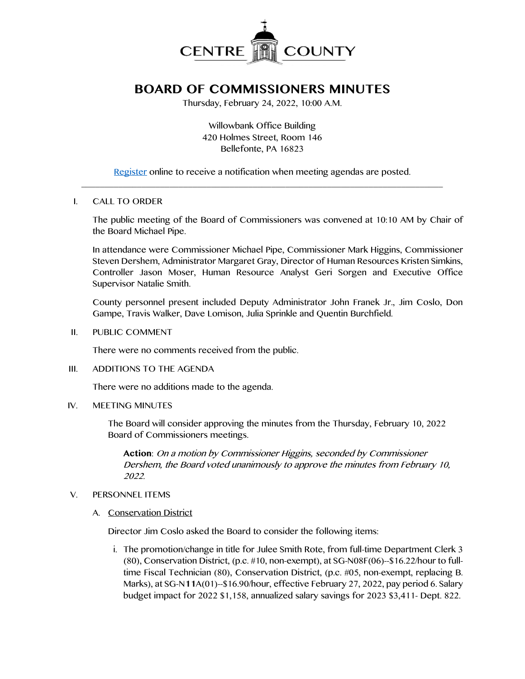

# **BOARD OF COMMISSIONERS MINUTES**

Thursday, February 24, 2022, 10:00 A.M.

Willowbank Office Building 420 Holmes Street, Room 146 Bellefonte, PA 16823

[Register](http://www.centrecountypa.gov/AgendaCenter) online to receive a notification when meeting agendas are posted.  $\mathcal{L} = \{ \mathcal{L} = \{ \mathcal{L} \mid \mathcal{L} = \{ \mathcal{L} \mid \mathcal{L} = \{ \mathcal{L} \mid \mathcal{L} = \{ \mathcal{L} \mid \mathcal{L} = \{ \mathcal{L} \mid \mathcal{L} = \{ \mathcal{L} \mid \mathcal{L} = \{ \mathcal{L} \mid \mathcal{L} = \{ \mathcal{L} \mid \mathcal{L} = \{ \mathcal{L} \mid \mathcal{L} = \{ \mathcal{L} \mid \mathcal{L} = \{ \mathcal{L} \mid \mathcal{L} = \{ \mathcal{L} \mid \mathcal{L} =$ 

#### I. CALL TO ORDER

The public meeting of the Board of Commissioners was convened at 10:10 AM by Chair of the Board Michael Pipe.

In attendance were Commissioner Michael Pipe, Commissioner Mark Higgins, Commissioner Steven Dershem, Administrator Margaret Gray, Director of Human Resources Kristen Simkins, Controller Jason Moser, Human Resource Analyst Geri Sorgen and Executive Office Supervisor Natalie Smith.

County personnel present included Deputy Administrator John Franek Jr., Jim Coslo, Don Gampe, Travis Walker, Dave Lomison, Julia Sprinkle and Quentin Burchfield.

II. PUBLIC COMMENT

There were no comments received from the public.

III. ADDITIONS TO THE AGENDA

There were no additions made to the agenda.

IV. MEETING MINUTES

The Board will consider approving the minutes from the Thursday, February 10, 2022 Board of Commissioners meetings.

**Action**: On a motion by Commissioner Higgins, seconded by Commissioner Dershem, the Board voted unanimously to approve the minutes from February 10, 2022.

# V. PERSONNEL ITEMS

A. Conservation District

Director Jim Coslo asked the Board to consider the following items:

i. The promotion/change in title for Julee Smith Rote, from full-time Department Clerk 3 (80), Conservation District, (p.c. #10, non-exempt), at SG-N08F(06)--\$16.22/hour to fulltime Fiscal Technician (80), Conservation District, (p.c. #05, non-exempt, replacing B. Marks), at SG-N**11**A(01)--\$16.90/hour, effective February 27, 2022, pay period 6. Salary budget impact for 2022 \$1,158, annualized salary savings for 2023 \$3,411- Dept. 822.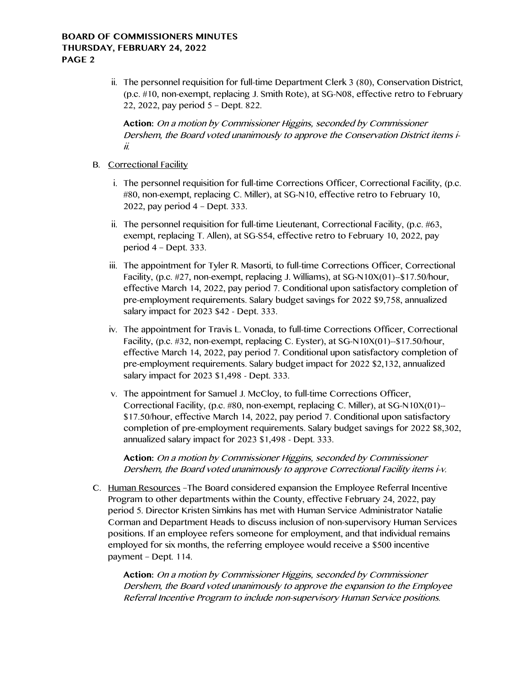## **BOARD OF COMMISSIONERS MINUTES THURSDAY, FEBRUARY 24, 2022 PAGE 2**

ii. The personnel requisition for full-time Department Clerk 3 (80), Conservation District, (p.c. #10, non-exempt, replacing J. Smith Rote), at SG-N08, effective retro to February 22, 2022, pay period 5 – Dept. 822.

**Action:** On a motion by Commissioner Higgins, seconded by Commissioner Dershem, the Board voted unanimously to approve the Conservation District items iii.

- B. Correctional Facility
	- i. The personnel requisition for full-time Corrections Officer, Correctional Facility, (p.c. #80, non-exempt, replacing C. Miller), at SG-N10, effective retro to February 10, 2022, pay period 4 – Dept. 333.
	- ii. The personnel requisition for full-time Lieutenant, Correctional Facility,  $(p.c. #63, ...)$ exempt, replacing T. Allen), at SG-S54, effective retro to February 10, 2022, pay period 4 – Dept. 333.
	- iii. The appointment for Tyler R. Masorti, to full-time Corrections Officer, Correctional Facility, (p.c. #27, non-exempt, replacing J. Williams), at SG-N10X(01)--\$17.50/hour, effective March 14, 2022, pay period 7. Conditional upon satisfactory completion of pre-employment requirements. Salary budget savings for 2022 \$9,758, annualized salary impact for 2023 \$42 - Dept. 333.
	- iv. The appointment for Travis L. Vonada, to full-time Corrections Officer, Correctional Facility, (p.c. #32, non-exempt, replacing C. Eyster), at SG-N10X(01)--\$17.50/hour, effective March 14, 2022, pay period 7. Conditional upon satisfactory completion of pre-employment requirements. Salary budget impact for 2022 \$2,132, annualized salary impact for 2023 \$1,498 - Dept. 333.
	- v. The appointment for Samuel J. McCloy, to full-time Corrections Officer, Correctional Facility, (p.c. #80, non-exempt, replacing C. Miller), at SG-N10X(01)-- \$17.50/hour, effective March 14, 2022, pay period 7. Conditional upon satisfactory completion of pre-employment requirements. Salary budget savings for 2022 \$8,302, annualized salary impact for 2023 \$1,498 - Dept. 333.

**Action:** On a motion by Commissioner Higgins, seconded by Commissioner Dershem, the Board voted unanimously to approve Correctional Facility items i-v.

C. Human Resources –The Board considered expansion the Employee Referral Incentive Program to other departments within the County, effective February 24, 2022, pay period 5. Director Kristen Simkins has met with Human Service Administrator Natalie Corman and Department Heads to discuss inclusion of non-supervisory Human Services positions. If an employee refers someone for employment, and that individual remains employed for six months, the referring employee would receive a \$500 incentive payment – Dept. 114.

**Action:** On a motion by Commissioner Higgins, seconded by Commissioner Dershem, the Board voted unanimously to approve the expansion to the Employee Referral Incentive Program to include non-supervisory Human Service positions.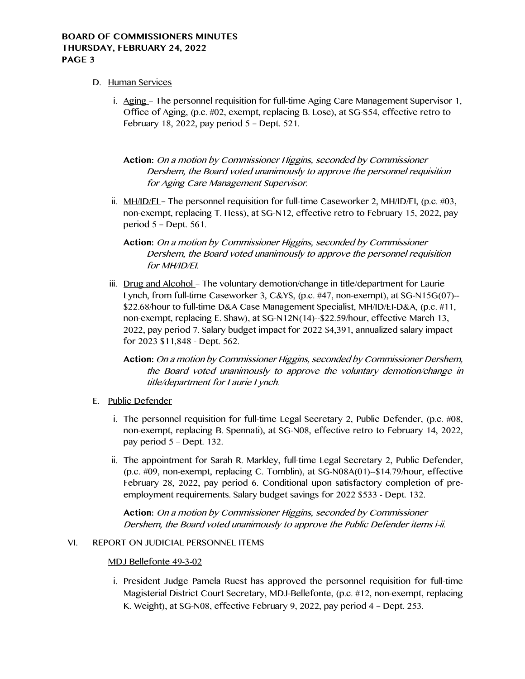# **BOARD OF COMMISSIONERS MINUTES THURSDAY, FEBRUARY 24, 2022 PAGE 3**

- D. Human Services
	- i. Aging The personnel requisition for full-time Aging Care Management Supervisor 1, Office of Aging, (p.c. #02, exempt, replacing B. Lose), at SG-S54, effective retro to February 18, 2022, pay period 5 – Dept. 521.

**Action:** On a motion by Commissioner Higgins, seconded by Commissioner Dershem, the Board voted unanimously to approve the personnel requisition for Aging Care Management Supervisor.

ii. MH/ID/EL – The personnel requisition for full-time Caseworker 2, MH/ID/EI, (p.c.  $\#03$ , non-exempt, replacing T. Hess), at SG-N12, effective retro to February 15, 2022, pay period 5 – Dept. 561.

**Action:** On a motion by Commissioner Higgins, seconded by Commissioner Dershem, the Board voted unanimously to approve the personnel requisition for MH/ID/EI.

iii. Drug and Alcohol – The voluntary demotion/change in title/department for Laurie Lynch, from full-time Caseworker 3, C&YS, (p.c. #47, non-exempt), at SG-N15G(07)-- \$22.68/hour to full-time D&A Case Management Specialist, MH/ID/EI-D&A, (p.c. #11, non-exempt, replacing E. Shaw), at SG-N12N(14)--\$22.59/hour, effective March 13, 2022, pay period 7. Salary budget impact for 2022 \$4,391, annualized salary impact for 2023 \$11,848 - Dept. 562.

**Action:** On a motion by Commissioner Higgins, seconded by Commissioner Dershem, the Board voted unanimously to approve the voluntary demotion/change in title/department for Laurie Lynch.

- E. Public Defender
	- i. The personnel requisition for full-time Legal Secretary 2, Public Defender, (p.c. #08, non-exempt, replacing B. Spennati), at SG-N08, effective retro to February 14, 2022, pay period 5 – Dept. 132.
	- ii. The appointment for Sarah R. Markley, full-time Legal Secretary 2, Public Defender, (p.c. #09, non-exempt, replacing C. Tomblin), at SG-N08A(01)--\$14.79/hour, effective February 28, 2022, pay period 6. Conditional upon satisfactory completion of preemployment requirements. Salary budget savings for 2022 \$533 - Dept. 132.

**Action:** On a motion by Commissioner Higgins, seconded by Commissioner Dershem, the Board voted unanimously to approve the Public Defender items i-ii.

#### VI. REPORT ON JUDICIAL PERSONNEL ITEMS

#### MDJ Bellefonte 49-3-02

i. President Judge Pamela Ruest has approved the personnel requisition for full-time Magisterial District Court Secretary, MDJ-Bellefonte, (p.c. #12, non-exempt, replacing K. Weight), at SG-N08, effective February 9, 2022, pay period 4 – Dept. 253.